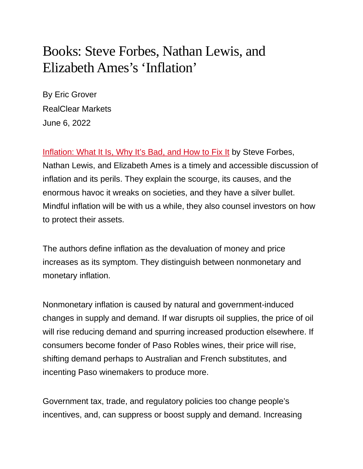## Books: Steve Forbes, Nathan Lewis, and Elizabeth Ames's 'Inflation'

By Eric Grover RealClear Markets June 6, 2022

[Inflation: What It Is, Why It's Bad, and How to Fix It](https://smile.amazon.com/Inflation-What-Why-Its-Bad/dp/1641772433/ref=sr_1_1?crid=3VITOVXSEJTCI&keywords=inflation+steve+forbes&qid=1653773156&sprefix=inflation+stev%2Caps%2C143&sr=8-1) by Steve Forbes, Nathan Lewis, and Elizabeth Ames is a timely and accessible discussion of inflation and its perils. They explain the scourge, its causes, and the enormous havoc it wreaks on societies, and they have a silver bullet. Mindful inflation will be with us a while, they also counsel investors on how to protect their assets.

The authors define inflation as the devaluation of money and price increases as its symptom. They distinguish between nonmonetary and monetary inflation.

Nonmonetary inflation is caused by natural and government-induced changes in supply and demand. If war disrupts oil supplies, the price of oil will rise reducing demand and spurring increased production elsewhere. If consumers become fonder of Paso Robles wines, their price will rise, shifting demand perhaps to Australian and French substitutes, and incenting Paso winemakers to produce more.

Government tax, trade, and regulatory policies too change people's incentives, and, can suppress or boost supply and demand. Increasing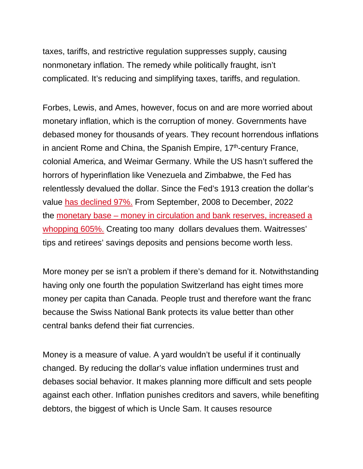taxes, tariffs, and restrictive regulation suppresses supply, causing nonmonetary inflation. The remedy while politically fraught, isn't complicated. It's reducing and simplifying taxes, tariffs, and regulation.

Forbes, Lewis, and Ames, however, focus on and are more worried about monetary inflation, which is the corruption of money. Governments have debased money for thousands of years. They recount horrendous inflations in ancient Rome and China, the Spanish Empire,  $17<sup>th</sup>$ -century France, colonial America, and Weimar Germany. While the US hasn't suffered the horrors of hyperinflation like Venezuela and Zimbabwe, the Fed has relentlessly devalued the dollar. Since the Fed's 1913 creation the dollar's value [has declined 97%.](https://www.in2013dollars.com/us/inflation/1913?amount=1#:%7E:text=Value%20of%20%241%20from%201913,cumulative%20price%20increase%20of%202%2C820.29%25.) From September, 2008 to December, 2022 the monetary base – [money in circulation and bank reserves, increased a](https://fred.stlouisfed.org/series/BOGMBASE)  [whopping 605%.](https://fred.stlouisfed.org/series/BOGMBASE) Creating too many dollars devalues them. Waitresses' tips and retirees' savings deposits and pensions become worth less.

More money per se isn't a problem if there's demand for it. Notwithstanding having only one fourth the population Switzerland has eight times more money per capita than Canada. People trust and therefore want the franc because the Swiss National Bank protects its value better than other central banks defend their fiat currencies.

Money is a measure of value. A yard wouldn't be useful if it continually changed. By reducing the dollar's value inflation undermines trust and debases social behavior. It makes planning more difficult and sets people against each other. Inflation punishes creditors and savers, while benefiting debtors, the biggest of which is Uncle Sam. It causes resource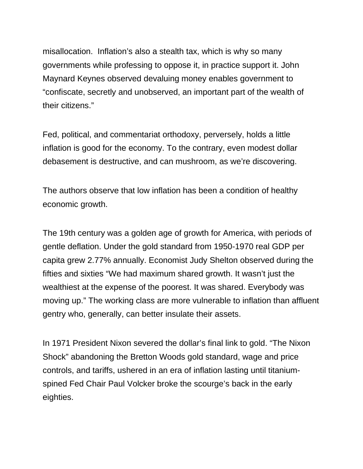misallocation. Inflation's also a stealth tax, which is why so many governments while professing to oppose it, in practice support it. John Maynard Keynes observed devaluing money enables government to "confiscate, secretly and unobserved, an important part of the wealth of their citizens."

Fed, political, and commentariat orthodoxy, perversely, holds a little inflation is good for the economy. To the contrary, even modest dollar debasement is destructive, and can mushroom, as we're discovering.

The authors observe that low inflation has been a condition of healthy economic growth.

The 19th century was a golden age of growth for America, with periods of gentle deflation. Under the gold standard from 1950-1970 real GDP per capita grew 2.77% annually. Economist Judy Shelton observed during the fifties and sixties "We had maximum shared growth. It wasn't just the wealthiest at the expense of the poorest. It was shared. Everybody was moving up." The working class are more vulnerable to inflation than affluent gentry who, generally, can better insulate their assets.

In 1971 President Nixon severed the dollar's final link to gold. "The Nixon Shock" abandoning the Bretton Woods gold standard, wage and price controls, and tariffs, ushered in an era of inflation lasting until titaniumspined Fed Chair Paul Volcker broke the scourge's back in the early eighties.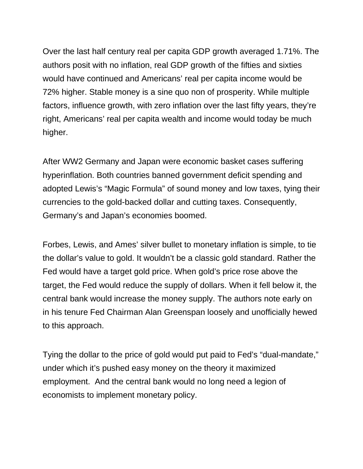Over the last half century real per capita GDP growth averaged 1.71%. The authors posit with no inflation, real GDP growth of the fifties and sixties would have continued and Americans' real per capita income would be 72% higher. Stable money is a sine quo non of prosperity. While multiple factors, influence growth, with zero inflation over the last fifty years, they're right, Americans' real per capita wealth and income would today be much higher.

After WW2 Germany and Japan were economic basket cases suffering hyperinflation. Both countries banned government deficit spending and adopted Lewis's "Magic Formula" of sound money and low taxes, tying their currencies to the gold-backed dollar and cutting taxes. Consequently, Germany's and Japan's economies boomed.

Forbes, Lewis, and Ames' silver bullet to monetary inflation is simple, to tie the dollar's value to gold. It wouldn't be a classic gold standard. Rather the Fed would have a target gold price. When gold's price rose above the target, the Fed would reduce the supply of dollars. When it fell below it, the central bank would increase the money supply. The authors note early on in his tenure Fed Chairman Alan Greenspan loosely and unofficially hewed to this approach.

Tying the dollar to the price of gold would put paid to Fed's "dual-mandate," under which it's pushed easy money on the theory it maximized employment. And the central bank would no long need a legion of economists to implement monetary policy.